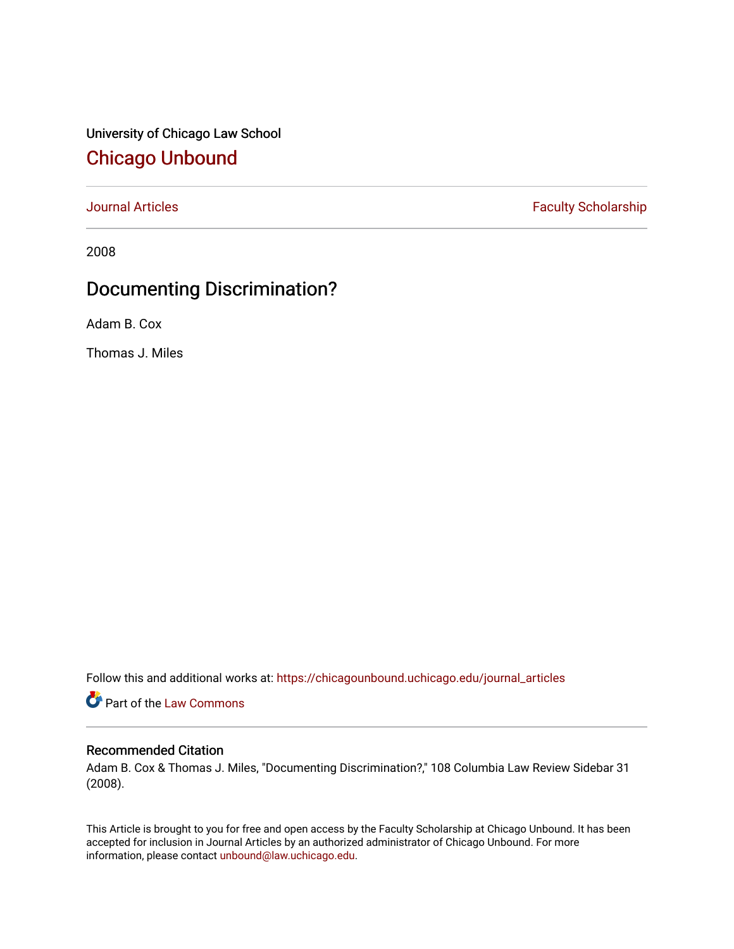University of Chicago Law School [Chicago Unbound](https://chicagounbound.uchicago.edu/)

[Journal Articles](https://chicagounbound.uchicago.edu/journal_articles) **Faculty Scholarship Faculty Scholarship** 

2008

## Documenting Discrimination?

Adam B. Cox

Thomas J. Miles

Follow this and additional works at: [https://chicagounbound.uchicago.edu/journal\\_articles](https://chicagounbound.uchicago.edu/journal_articles?utm_source=chicagounbound.uchicago.edu%2Fjournal_articles%2F197&utm_medium=PDF&utm_campaign=PDFCoverPages) 

Part of the [Law Commons](http://network.bepress.com/hgg/discipline/578?utm_source=chicagounbound.uchicago.edu%2Fjournal_articles%2F197&utm_medium=PDF&utm_campaign=PDFCoverPages)

### Recommended Citation

Adam B. Cox & Thomas J. Miles, "Documenting Discrimination?," 108 Columbia Law Review Sidebar 31 (2008).

This Article is brought to you for free and open access by the Faculty Scholarship at Chicago Unbound. It has been accepted for inclusion in Journal Articles by an authorized administrator of Chicago Unbound. For more information, please contact [unbound@law.uchicago.edu](mailto:unbound@law.uchicago.edu).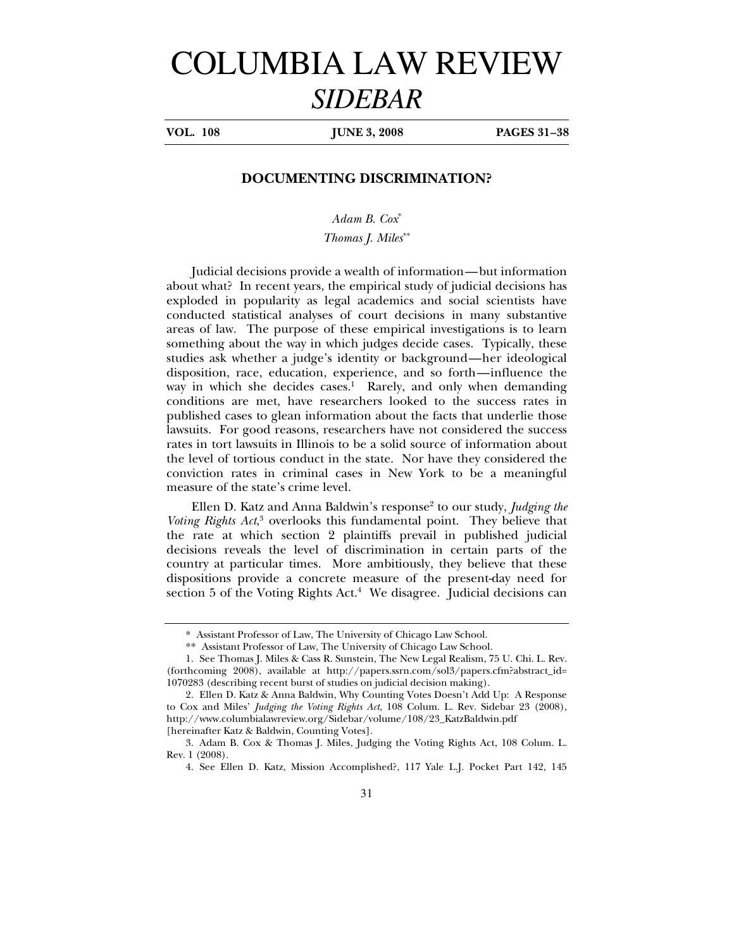# COLUMBIA LAW REVIEW *SIDEBAR*

**VOL.** 108 **IUNE 3, 2008 PAGES 31–38** 

#### **DOCUMENTING DISCRIMINATION?**

*Adam B. Cox*\* *Thomas J. Miles*\*\*

Judicial decisions provide a wealth of information—but information about what? In recent years, the empirical study of judicial decisions has exploded in popularity as legal academics and social scientists have conducted statistical analyses of court decisions in many substantive areas of law. The purpose of these empirical investigations is to learn something about the way in which judges decide cases. Typically, these studies ask whether a judge's identity or background—her ideological disposition, race, education, experience, and so forth—influence the way in which she decides cases.<sup>1</sup> Rarely, and only when demanding conditions are met, have researchers looked to the success rates in published cases to glean information about the facts that underlie those lawsuits. For good reasons, researchers have not considered the success rates in tort lawsuits in Illinois to be a solid source of information about the level of tortious conduct in the state. Nor have they considered the conviction rates in criminal cases in New York to be a meaningful measure of the state's crime level.

Ellen D. Katz and Anna Baldwin's response<sup>2</sup> to our study, *Judging the* Voting Rights Act,<sup>3</sup> overlooks this fundamental point. They believe that the rate at which section 2 plaintiffs prevail in published judicial decisions reveals the level of discrimination in certain parts of the country at particular times. More ambitiously, they believe that these dispositions provide a concrete measure of the present-day need for section 5 of the Voting Rights Act.<sup>4</sup> We disagree. Judicial decisions can

<sup>\*</sup> Assistant Professor of Law, The University of Chicago Law School.

<sup>\*\*</sup> Assistant Professor of Law, The University of Chicago Law School.

<sup>1.</sup> See Thomas J. Miles & Cass R. Sunstein, The New Legal Realism, 75 U. Chi. L. Rev. (forthcoming 2008), available at http://papers.ssrn.com/sol3/papers.cfm?abstract\_id= 1070283 (describing recent burst of studies on judicial decision making).

<sup>2.</sup> Ellen D. Katz & Anna Baldwin, Why Counting Votes Doesn't Add Up: A Response to Cox and Miles' *Judging the Voting Rights Act*, 108 Colum. L. Rev. Sidebar 23 (2008), http://www.columbialawreview.org/Sidebar/volume/108/23\_KatzBaldwin.pdf [hereinafter Katz & Baldwin, Counting Votes].

<sup>3.</sup> Adam B. Cox & Thomas J. Miles, Judging the Voting Rights Act, 108 Colum. L. Rev. 1 (2008).

<sup>4.</sup> See Ellen D. Katz, Mission Accomplished?, 117 Yale L.J. Pocket Part 142, 145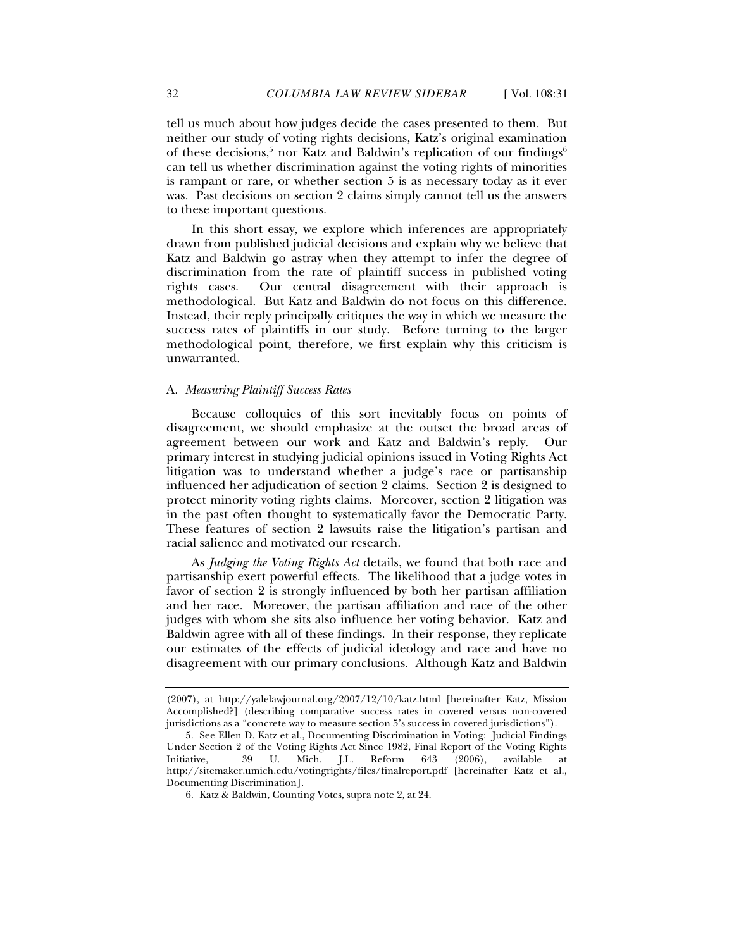tell us much about how judges decide the cases presented to them. But neither our study of voting rights decisions, Katz's original examination of these decisions,<sup>5</sup> nor Katz and Baldwin's replication of our findings<sup>6</sup> can tell us whether discrimination against the voting rights of minorities is rampant or rare, or whether section 5 is as necessary today as it ever was. Past decisions on section 2 claims simply cannot tell us the answers to these important questions.

In this short essay, we explore which inferences are appropriately drawn from published judicial decisions and explain why we believe that Katz and Baldwin go astray when they attempt to infer the degree of discrimination from the rate of plaintiff success in published voting rights cases. Our central disagreement with their approach is methodological. But Katz and Baldwin do not focus on this difference. Instead, their reply principally critiques the way in which we measure the success rates of plaintiffs in our study. Before turning to the larger methodological point, therefore, we first explain why this criticism is unwarranted.

#### A. *Measuring Plaintiff Success Rates*

Because colloquies of this sort inevitably focus on points of disagreement, we should emphasize at the outset the broad areas of agreement between our work and Katz and Baldwin's reply. Our primary interest in studying judicial opinions issued in Voting Rights Act litigation was to understand whether a judge's race or partisanship influenced her adjudication of section 2 claims. Section 2 is designed to protect minority voting rights claims. Moreover, section 2 litigation was in the past often thought to systematically favor the Democratic Party. These features of section 2 lawsuits raise the litigation's partisan and racial salience and motivated our research.

As *Judging the Voting Rights Act* details, we found that both race and partisanship exert powerful effects. The likelihood that a judge votes in favor of section 2 is strongly influenced by both her partisan affiliation and her race. Moreover, the partisan affiliation and race of the other judges with whom she sits also influence her voting behavior. Katz and Baldwin agree with all of these findings. In their response, they replicate our estimates of the effects of judicial ideology and race and have no disagreement with our primary conclusions. Although Katz and Baldwin

<sup>(2007),</sup> at http://yalelawjournal.org/2007/12/10/katz.html [hereinafter Katz, Mission Accomplished?] (describing comparative success rates in covered versus non-covered jurisdictions as a "concrete way to measure section 5's success in covered jurisdictions").

<sup>5.</sup> See Ellen D. Katz et al., Documenting Discrimination in Voting: Judicial Findings Under Section 2 of the Voting Rights Act Since 1982, Final Report of the Voting Rights Initiative, 39 U. Mich. J.L. Reform 643 (2006), available at http://sitemaker.umich.edu/votingrights/files/finalreport.pdf [hereinafter Katz et al., Documenting Discrimination].

<sup>6.</sup> Katz & Baldwin, Counting Votes, supra note 2, at 24.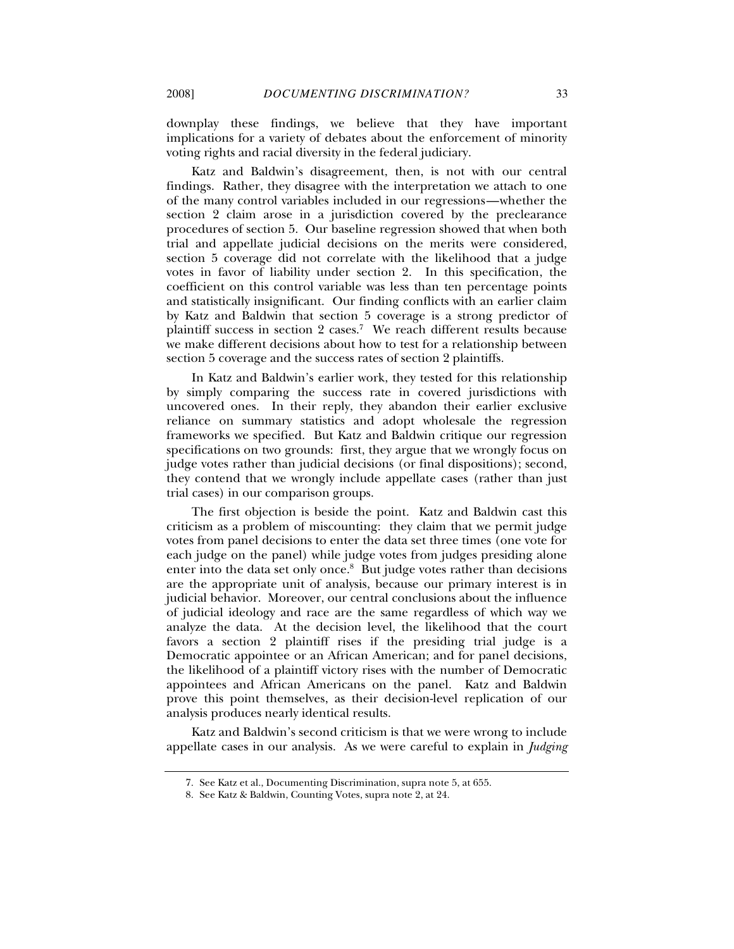downplay these findings, we believe that they have important implications for a variety of debates about the enforcement of minority voting rights and racial diversity in the federal judiciary.

Katz and Baldwin's disagreement, then, is not with our central findings. Rather, they disagree with the interpretation we attach to one of the many control variables included in our regressions—whether the section 2 claim arose in a jurisdiction covered by the preclearance procedures of section 5. Our baseline regression showed that when both trial and appellate judicial decisions on the merits were considered, section 5 coverage did not correlate with the likelihood that a judge votes in favor of liability under section 2. In this specification, the coefficient on this control variable was less than ten percentage points and statistically insignificant. Our finding conflicts with an earlier claim by Katz and Baldwin that section 5 coverage is a strong predictor of plaintiff success in section 2 cases.<sup>7</sup> We reach different results because we make different decisions about how to test for a relationship between section 5 coverage and the success rates of section 2 plaintiffs.

In Katz and Baldwin's earlier work, they tested for this relationship by simply comparing the success rate in covered jurisdictions with uncovered ones. In their reply, they abandon their earlier exclusive reliance on summary statistics and adopt wholesale the regression frameworks we specified. But Katz and Baldwin critique our regression specifications on two grounds: first, they argue that we wrongly focus on judge votes rather than judicial decisions (or final dispositions); second, they contend that we wrongly include appellate cases (rather than just trial cases) in our comparison groups.

The first objection is beside the point. Katz and Baldwin cast this criticism as a problem of miscounting: they claim that we permit judge votes from panel decisions to enter the data set three times (one vote for each judge on the panel) while judge votes from judges presiding alone enter into the data set only once.<sup>8</sup> But judge votes rather than decisions are the appropriate unit of analysis, because our primary interest is in judicial behavior. Moreover, our central conclusions about the influence of judicial ideology and race are the same regardless of which way we analyze the data. At the decision level, the likelihood that the court favors a section 2 plaintiff rises if the presiding trial judge is a Democratic appointee or an African American; and for panel decisions, the likelihood of a plaintiff victory rises with the number of Democratic appointees and African Americans on the panel. Katz and Baldwin prove this point themselves, as their decision-level replication of our analysis produces nearly identical results.

Katz and Baldwin's second criticism is that we were wrong to include appellate cases in our analysis. As we were careful to explain in *Judging* 

<sup>7.</sup> See Katz et al., Documenting Discrimination, supra note 5, at 655.

<sup>8.</sup> See Katz & Baldwin, Counting Votes, supra note 2, at 24.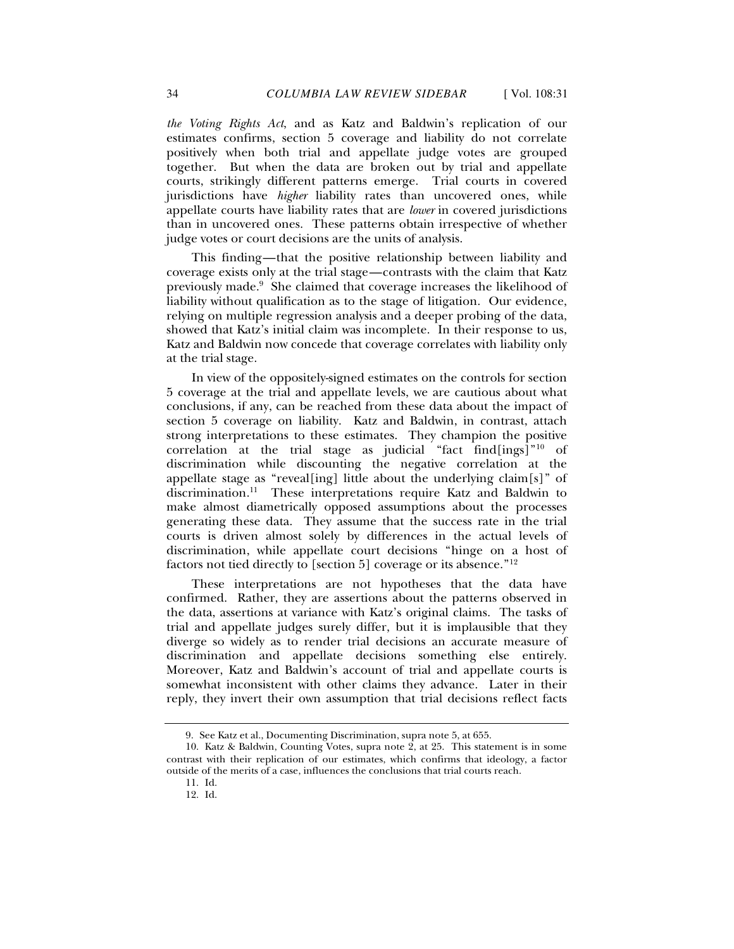*the Voting Rights Act*, and as Katz and Baldwin's replication of our estimates confirms, section 5 coverage and liability do not correlate positively when both trial and appellate judge votes are grouped together. But when the data are broken out by trial and appellate courts, strikingly different patterns emerge. Trial courts in covered jurisdictions have *higher* liability rates than uncovered ones, while appellate courts have liability rates that are *lower* in covered jurisdictions than in uncovered ones. These patterns obtain irrespective of whether judge votes or court decisions are the units of analysis.

This finding—that the positive relationship between liability and coverage exists only at the trial stage—contrasts with the claim that Katz previously made.<sup>9</sup> She claimed that coverage increases the likelihood of liability without qualification as to the stage of litigation. Our evidence, relying on multiple regression analysis and a deeper probing of the data, showed that Katz's initial claim was incomplete. In their response to us, Katz and Baldwin now concede that coverage correlates with liability only at the trial stage.

In view of the oppositely-signed estimates on the controls for section 5 coverage at the trial and appellate levels, we are cautious about what conclusions, if any, can be reached from these data about the impact of section 5 coverage on liability. Katz and Baldwin, in contrast, attach strong interpretations to these estimates. They champion the positive correlation at the trial stage as judicial "fact  $find[ings]$ "<sup>10</sup> of discrimination while discounting the negative correlation at the appellate stage as "reveal[ing] little about the underlying claim[s]" of discrimination.<sup>11</sup> These interpretations require Katz and Baldwin to make almost diametrically opposed assumptions about the processes generating these data. They assume that the success rate in the trial courts is driven almost solely by differences in the actual levels of discrimination, while appellate court decisions "hinge on a host of factors not tied directly to [section 5] coverage or its absence."<sup>12</sup>

These interpretations are not hypotheses that the data have confirmed. Rather, they are assertions about the patterns observed in the data, assertions at variance with Katz's original claims. The tasks of trial and appellate judges surely differ, but it is implausible that they diverge so widely as to render trial decisions an accurate measure of discrimination and appellate decisions something else entirely. Moreover, Katz and Baldwin's account of trial and appellate courts is somewhat inconsistent with other claims they advance. Later in their reply, they invert their own assumption that trial decisions reflect facts

<sup>9.</sup> See Katz et al., Documenting Discrimination, supra note 5, at 655.

<sup>10.</sup> Katz & Baldwin, Counting Votes, supra note 2, at 25. This statement is in some contrast with their replication of our estimates, which confirms that ideology, a factor outside of the merits of a case, influences the conclusions that trial courts reach.

<sup>11.</sup> Id.

<sup>12.</sup> Id.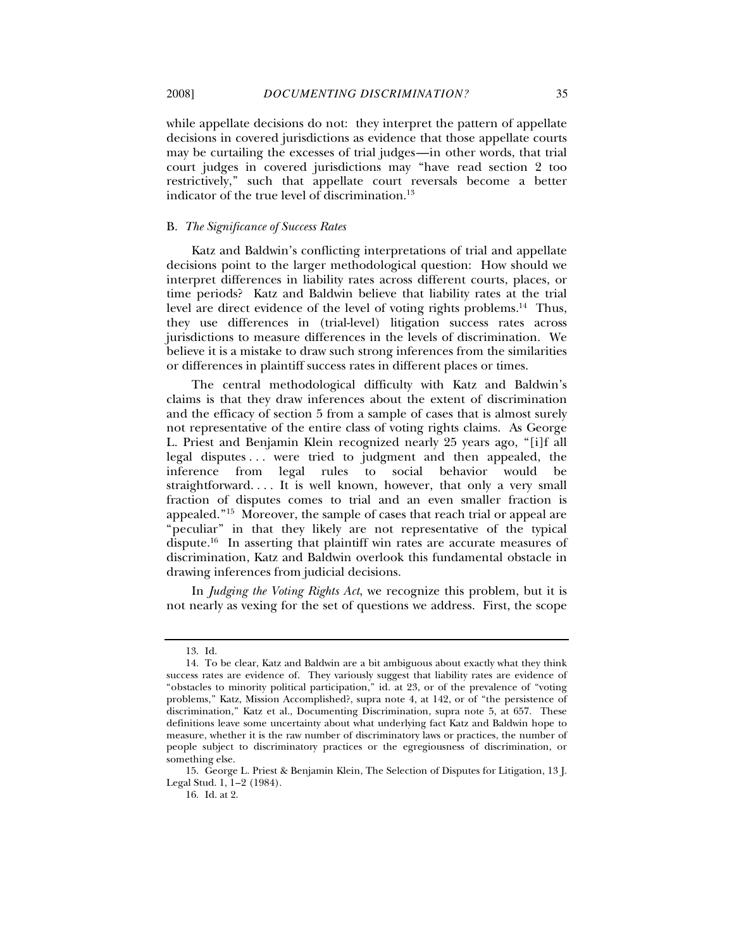while appellate decisions do not: they interpret the pattern of appellate decisions in covered jurisdictions as evidence that those appellate courts may be curtailing the excesses of trial judges—in other words, that trial court judges in covered jurisdictions may "have read section 2 too restrictively," such that appellate court reversals become a better indicator of the true level of discrimination.<sup>13</sup>

#### B. *The Significance of Success Rates*

Katz and Baldwin's conflicting interpretations of trial and appellate decisions point to the larger methodological question: How should we interpret differences in liability rates across different courts, places, or time periods? Katz and Baldwin believe that liability rates at the trial level are direct evidence of the level of voting rights problems.<sup>14</sup> Thus, they use differences in (trial-level) litigation success rates across jurisdictions to measure differences in the levels of discrimination. We believe it is a mistake to draw such strong inferences from the similarities or differences in plaintiff success rates in different places or times.

The central methodological difficulty with Katz and Baldwin's claims is that they draw inferences about the extent of discrimination and the efficacy of section 5 from a sample of cases that is almost surely not representative of the entire class of voting rights claims. As George L. Priest and Benjamin Klein recognized nearly 25 years ago, "[i]f all legal disputes . . . were tried to judgment and then appealed, the inference from legal rules to social behavior would be straightforward. . . . It is well known, however, that only a very small fraction of disputes comes to trial and an even smaller fraction is appealed."<sup>15</sup> Moreover, the sample of cases that reach trial or appeal are "peculiar" in that they likely are not representative of the typical dispute.<sup>16</sup> In asserting that plaintiff win rates are accurate measures of discrimination, Katz and Baldwin overlook this fundamental obstacle in drawing inferences from judicial decisions.

In *Judging the Voting Rights Act*, we recognize this problem, but it is not nearly as vexing for the set of questions we address. First, the scope

<sup>13.</sup> Id.

<sup>14.</sup> To be clear, Katz and Baldwin are a bit ambiguous about exactly what they think success rates are evidence of. They variously suggest that liability rates are evidence of "obstacles to minority political participation," id. at 23, or of the prevalence of "voting problems," Katz, Mission Accomplished?, supra note 4, at 142, or of "the persistence of discrimination," Katz et al., Documenting Discrimination, supra note 5, at 657. These definitions leave some uncertainty about what underlying fact Katz and Baldwin hope to measure, whether it is the raw number of discriminatory laws or practices, the number of people subject to discriminatory practices or the egregiousness of discrimination, or something else.

<sup>15.</sup> George L. Priest & Benjamin Klein, The Selection of Disputes for Litigation, 13 J. Legal Stud. 1, 1–2 (1984).

<sup>16.</sup> Id. at 2.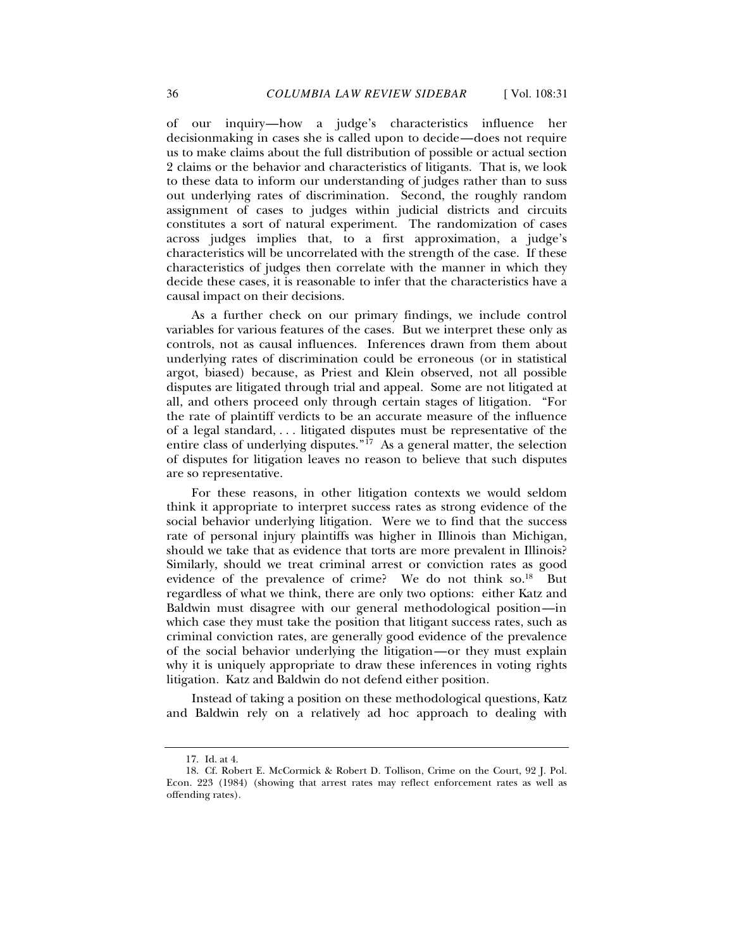of our inquiry—how a judge's characteristics influence her decisionmaking in cases she is called upon to decide—does not require us to make claims about the full distribution of possible or actual section 2 claims or the behavior and characteristics of litigants. That is, we look to these data to inform our understanding of judges rather than to suss out underlying rates of discrimination. Second, the roughly random assignment of cases to judges within judicial districts and circuits constitutes a sort of natural experiment. The randomization of cases across judges implies that, to a first approximation, a judge's characteristics will be uncorrelated with the strength of the case. If these characteristics of judges then correlate with the manner in which they decide these cases, it is reasonable to infer that the characteristics have a causal impact on their decisions.

As a further check on our primary findings, we include control variables for various features of the cases. But we interpret these only as controls, not as causal influences. Inferences drawn from them about underlying rates of discrimination could be erroneous (or in statistical argot, biased) because, as Priest and Klein observed, not all possible disputes are litigated through trial and appeal. Some are not litigated at all, and others proceed only through certain stages of litigation. "For the rate of plaintiff verdicts to be an accurate measure of the influence of a legal standard, . . . litigated disputes must be representative of the entire class of underlying disputes." $i^7$  As a general matter, the selection of disputes for litigation leaves no reason to believe that such disputes are so representative.

For these reasons, in other litigation contexts we would seldom think it appropriate to interpret success rates as strong evidence of the social behavior underlying litigation. Were we to find that the success rate of personal injury plaintiffs was higher in Illinois than Michigan, should we take that as evidence that torts are more prevalent in Illinois? Similarly, should we treat criminal arrest or conviction rates as good evidence of the prevalence of crime? We do not think so.<sup>18</sup> But regardless of what we think, there are only two options: either Katz and Baldwin must disagree with our general methodological position—in which case they must take the position that litigant success rates, such as criminal conviction rates, are generally good evidence of the prevalence of the social behavior underlying the litigation—or they must explain why it is uniquely appropriate to draw these inferences in voting rights litigation. Katz and Baldwin do not defend either position.

Instead of taking a position on these methodological questions, Katz and Baldwin rely on a relatively ad hoc approach to dealing with

<sup>17.</sup> Id. at 4.

<sup>18.</sup> Cf. Robert E. McCormick & Robert D. Tollison, Crime on the Court, 92 J. Pol. Econ. 223 (1984) (showing that arrest rates may reflect enforcement rates as well as offending rates).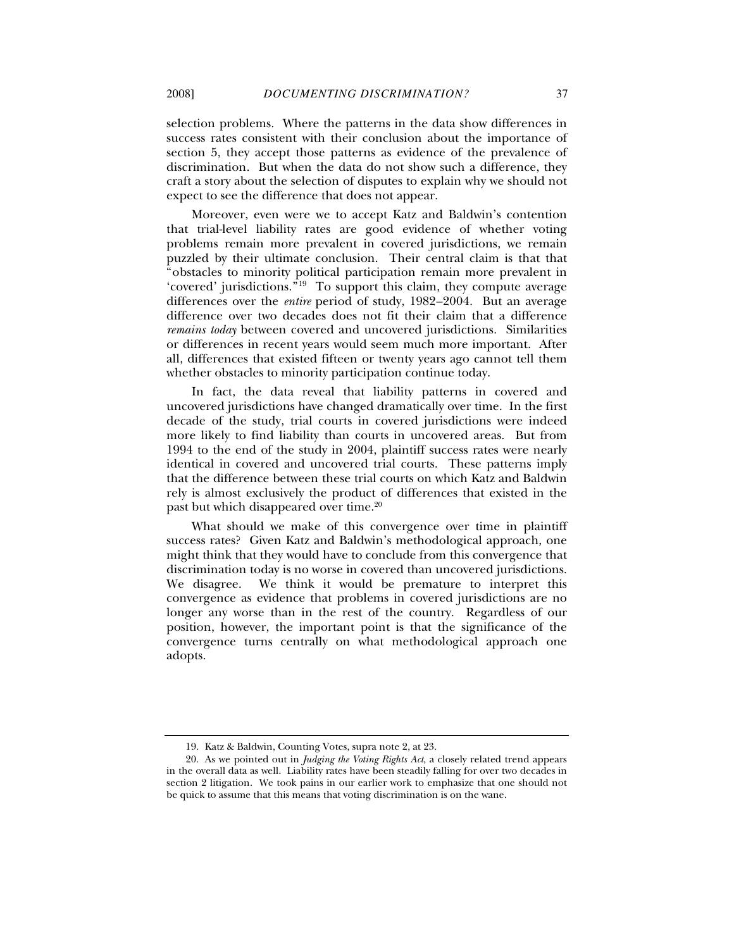selection problems. Where the patterns in the data show differences in success rates consistent with their conclusion about the importance of section 5, they accept those patterns as evidence of the prevalence of discrimination. But when the data do not show such a difference, they craft a story about the selection of disputes to explain why we should not expect to see the difference that does not appear.

Moreover, even were we to accept Katz and Baldwin's contention that trial-level liability rates are good evidence of whether voting problems remain more prevalent in covered jurisdictions, we remain puzzled by their ultimate conclusion. Their central claim is that that "obstacles to minority political participation remain more prevalent in 'covered' jurisdictions."<sup>19</sup> To support this claim, they compute average differences over the *entire* period of study, 1982–2004. But an average difference over two decades does not fit their claim that a difference *remains today* between covered and uncovered jurisdictions. Similarities or differences in recent years would seem much more important. After all, differences that existed fifteen or twenty years ago cannot tell them whether obstacles to minority participation continue today.

In fact, the data reveal that liability patterns in covered and uncovered jurisdictions have changed dramatically over time. In the first decade of the study, trial courts in covered jurisdictions were indeed more likely to find liability than courts in uncovered areas. But from 1994 to the end of the study in 2004, plaintiff success rates were nearly identical in covered and uncovered trial courts. These patterns imply that the difference between these trial courts on which Katz and Baldwin rely is almost exclusively the product of differences that existed in the past but which disappeared over time.<sup>20</sup>

What should we make of this convergence over time in plaintiff success rates? Given Katz and Baldwin's methodological approach, one might think that they would have to conclude from this convergence that discrimination today is no worse in covered than uncovered jurisdictions. We disagree. We think it would be premature to interpret this convergence as evidence that problems in covered jurisdictions are no longer any worse than in the rest of the country. Regardless of our position, however, the important point is that the significance of the convergence turns centrally on what methodological approach one adopts.

<sup>19.</sup> Katz & Baldwin, Counting Votes, supra note 2, at 23.

<sup>20.</sup> As we pointed out in *Judging the Voting Rights Act*, a closely related trend appears in the overall data as well. Liability rates have been steadily falling for over two decades in section 2 litigation. We took pains in our earlier work to emphasize that one should not be quick to assume that this means that voting discrimination is on the wane.